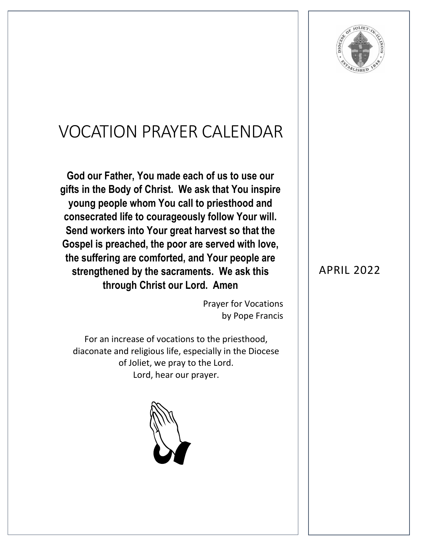

## VOCATION PRAYER CALENDAR

**God our Father, You made each of us to use our gifts in the Body of Christ. We ask that You inspire young people whom You call to priesthood and consecrated life to courageously follow Your will. Send workers into Your great harvest so that the Gospel is preached, the poor are served with love, the suffering are comforted, and Your people are strengthened by the sacraments. We ask this through Christ our Lord. Amen**

> Prayer for Vocations by Pope Francis

For an increase of vocations to the priesthood, diaconate and religious life, especially in the Diocese of Joliet, we pray to the Lord. Lord, hear our prayer.



## APRIL 2022